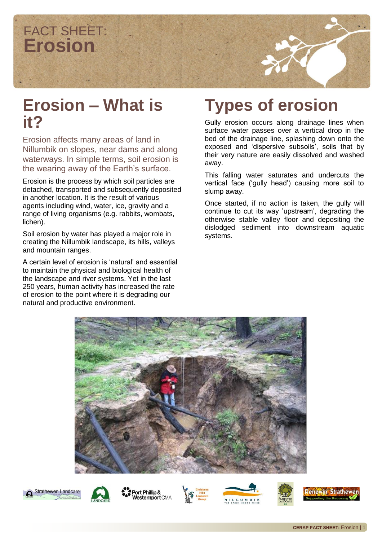

#### **Erosion – What is it?**

Erosion affects many areas of land in Nillumbik on slopes, near dams and along waterways. In simple terms, soil erosion is the wearing away of the Earth's surface.

Erosion is the process by which soil particles are detached, transported and subsequently deposited in another location. It is the result of various agents including wind, water, ice, gravity and a range of living organisms (e.g. rabbits, wombats, lichen).

Soil erosion by water has played a major role in creating the Nillumbik landscape, its hills**,** valleys and mountain ranges.

A certain level of erosion is 'natural' and essential to maintain the physical and biological health of the landscape and river systems. Yet in the last 250 years, human activity has increased the rate of erosion to the point where it is degrading our natural and productive environment.

## **Types of erosion**

Gully erosion occurs along drainage lines when surface water passes over a vertical drop in the bed of the drainage line, splashing down onto the exposed and 'dispersive subsoils', soils that by their very nature are easily dissolved and washed away.

This falling water saturates and undercuts the vertical face ('gully head') causing more soil to slump away.

Once started, if no action is taken, the gully will continue to cut its way 'upstream', degrading the otherwise stable valley floor and depositing the dislodged sediment into downstream aquatic systems.







Port Phillip & Westernport CMA





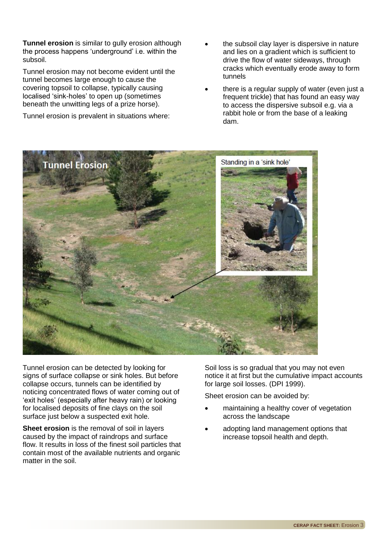**Tunnel erosion** is similar to gully erosion although the process happens 'underground' i.e. within the subsoil.

Tunnel erosion may not become evident until the tunnel becomes large enough to cause the covering topsoil to collapse, typically causing localised 'sink-holes' to open up (sometimes beneath the unwitting legs of a prize horse).

Tunnel erosion is prevalent in situations where:

- the subsoil clay layer is dispersive in nature and lies on a gradient which is sufficient to drive the flow of water sideways, through cracks which eventually erode away to form tunnels
- there is a regular supply of water (even just a frequent trickle) that has found an easy way to access the dispersive subsoil e.g. via a rabbit hole or from the base of a leaking dam.



Tunnel erosion can be detected by looking for signs of surface collapse or sink holes. But before collapse occurs, tunnels can be identified by noticing concentrated flows of water coming out of 'exit holes' (especially after heavy rain) or looking for localised deposits of fine clays on the soil surface just below a suspected exit hole.

**Sheet erosion** is the removal of soil in layers caused by the impact of raindrops and surface flow. It results in loss of the finest soil particles that contain most of the available nutrients and organic matter in the soil.

Soil loss is so gradual that you may not even notice it at first but the cumulative impact accounts for large soil losses. (DPI 1999).

Sheet erosion can be avoided by:

- maintaining a healthy cover of vegetation across the landscape
- adopting land management options that increase topsoil health and depth.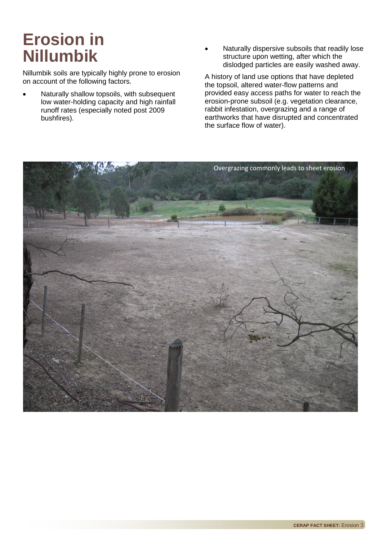## **Erosion in Nillumbik**

Nillumbik soils are typically highly prone to erosion on account of the following factors.

- Naturally shallow topsoils, with subsequent low water-holding capacity and high rainfall runoff rates (especially noted post 2009 bushfires).
- Naturally dispersive subsoils that readily lose structure upon wetting, after which the dislodged particles are easily washed away.

A history of land use options that have depleted the topsoil, altered water-flow patterns and provided easy access paths for water to reach the erosion-prone subsoil (e.g. vegetation clearance, rabbit infestation, overgrazing and a range of earthworks that have disrupted and concentrated the surface flow of water).